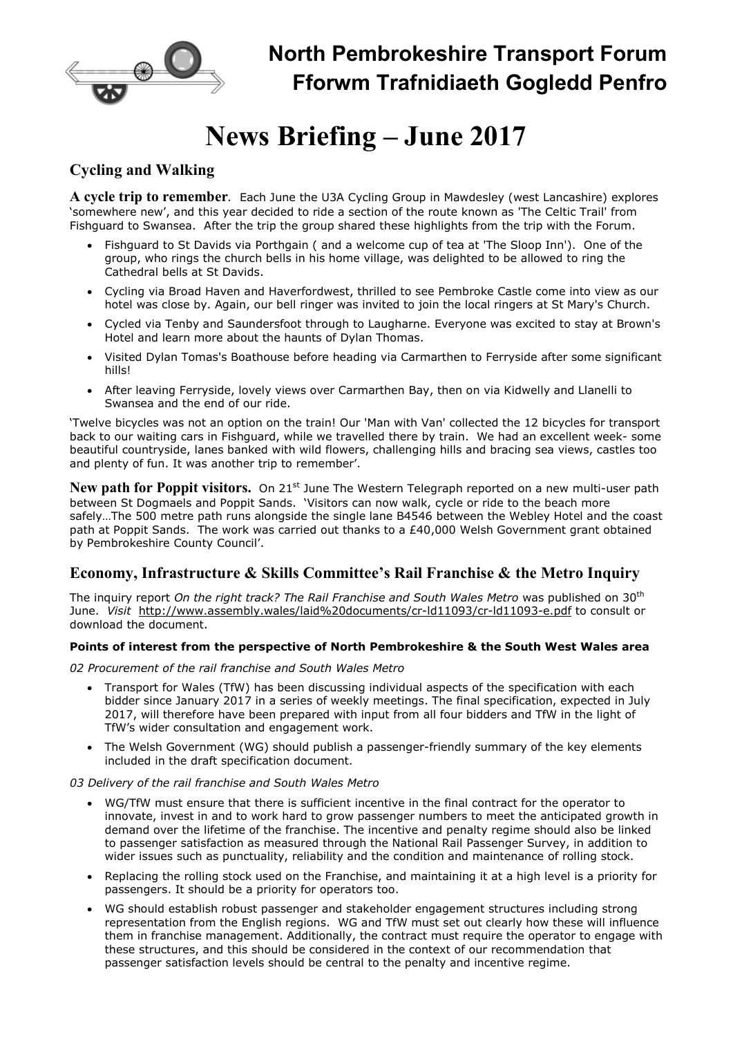

# News Briefing – June 2017

## Cycling and Walking

A cycle trip to remember. Each June the U3A Cycling Group in Mawdesley (west Lancashire) explores 'somewhere new', and this year decided to ride a section of the route known as 'The Celtic Trail' from Fishguard to Swansea. After the trip the group shared these highlights from the trip with the Forum.

- Fishguard to St Davids via Porthgain ( and a welcome cup of tea at 'The Sloop Inn'). One of the group, who rings the church bells in his home village, was delighted to be allowed to ring the Cathedral bells at St Davids.
- Cycling via Broad Haven and Haverfordwest, thrilled to see Pembroke Castle come into view as our hotel was close by. Again, our bell ringer was invited to join the local ringers at St Mary's Church.
- Cycled via Tenby and Saundersfoot through to Laugharne. Everyone was excited to stay at Brown's Hotel and learn more about the haunts of Dylan Thomas.
- Visited Dylan Tomas's Boathouse before heading via Carmarthen to Ferryside after some significant hills!
- After leaving Ferryside, lovely views over Carmarthen Bay, then on via Kidwelly and Llanelli to Swansea and the end of our ride.

'Twelve bicycles was not an option on the train! Our 'Man with Van' collected the 12 bicycles for transport back to our waiting cars in Fishguard, while we travelled there by train. We had an excellent week- some beautiful countryside, lanes banked with wild flowers, challenging hills and bracing sea views, castles too and plenty of fun. It was another trip to remember'.

New path for Poppit visitors. On 21<sup>st</sup> June The Western Telegraph reported on a new multi-user path between St Dogmaels and Poppit Sands. 'Visitors can now walk, cycle or ride to the beach more safely…The 500 metre path runs alongside the single lane B4546 between the Webley Hotel and the coast path at Poppit Sands. The work was carried out thanks to a £40,000 Welsh Government grant obtained by Pembrokeshire County Council'.

## Economy, Infrastructure & Skills Committee's Rail Franchise & the Metro Inquiry

The inquiry report On the right track? The Rail Franchise and South Wales Metro was published on 30<sup>th</sup> June. Visit http://www.assembly.wales/laid%20documents/cr-ld11093/cr-ld11093-e.pdf to consult or download the document.

### Points of interest from the perspective of North Pembrokeshire & the South West Wales area

02 Procurement of the rail franchise and South Wales Metro

- Transport for Wales (TfW) has been discussing individual aspects of the specification with each bidder since January 2017 in a series of weekly meetings. The final specification, expected in July 2017, will therefore have been prepared with input from all four bidders and TfW in the light of TfW's wider consultation and engagement work.
- The Welsh Government (WG) should publish a passenger-friendly summary of the key elements included in the draft specification document.

#### 03 Delivery of the rail franchise and South Wales Metro

- WG/TfW must ensure that there is sufficient incentive in the final contract for the operator to innovate, invest in and to work hard to grow passenger numbers to meet the anticipated growth in demand over the lifetime of the franchise. The incentive and penalty regime should also be linked to passenger satisfaction as measured through the National Rail Passenger Survey, in addition to wider issues such as punctuality, reliability and the condition and maintenance of rolling stock.
- Replacing the rolling stock used on the Franchise, and maintaining it at a high level is a priority for passengers. It should be a priority for operators too.
- WG should establish robust passenger and stakeholder engagement structures including strong representation from the English regions. WG and TfW must set out clearly how these will influence them in franchise management. Additionally, the contract must require the operator to engage with these structures, and this should be considered in the context of our recommendation that passenger satisfaction levels should be central to the penalty and incentive regime.